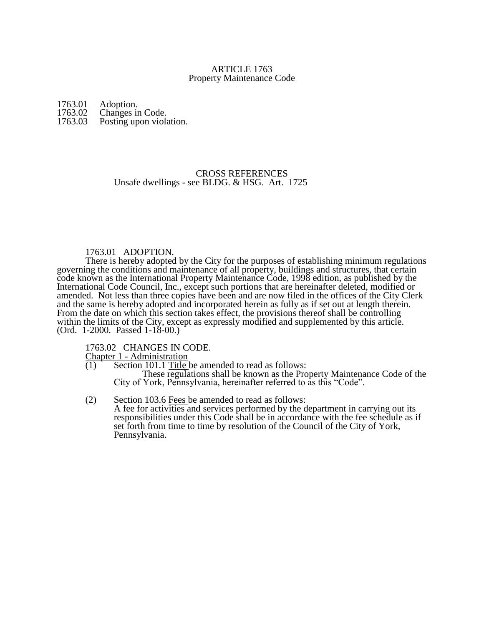# ARTICLE 1763 Property Maintenance Code

1763.01 Adoption.<br>1763.02 Changes in 1763.02 Changes in Code.<br>1763.03 Posting upon viola Posting upon violation.

# CROSS REFERENCES Unsafe dwellings - see BLDG. & HSG. Art. 1725

## 1763.01 ADOPTION.

There is hereby adopted by the City for the purposes of establishing minimum regulations governing the conditions and maintenance of all property, buildings and structures, that certain code known as the International Property Maintenance Code, 1998 edition, as published by the International Code Council, Inc., except such portions that are hereinafter deleted, modified or amended. Not less than three copies have been and are now filed in the offices of the City Clerk and the same is hereby adopted and incorporated herein as fully as if set out at length therein. From the date on which this section takes effect, the provisions thereof shall be controlling within the limits of the City, except as expressly modified and supplemented by this article. (Ord. 1-2000. Passed 1-18-00.)

1763.02 CHANGES IN CODE.

Chapter 1 - Administration

- $(1)$  Section 101.1 Title be amended to read as follows: These regulations shall be known as the Property Maintenance Code of the City of York, Pennsylvania, hereinafter referred to as this "Code".
- (2) Section 103.6 Fees be amended to read as follows: A fee for activities and services performed by the department in carrying out its responsibilities under this Code shall be in accordance with the fee schedule as if set forth from time to time by resolution of the Council of the City of York, Pennsylvania.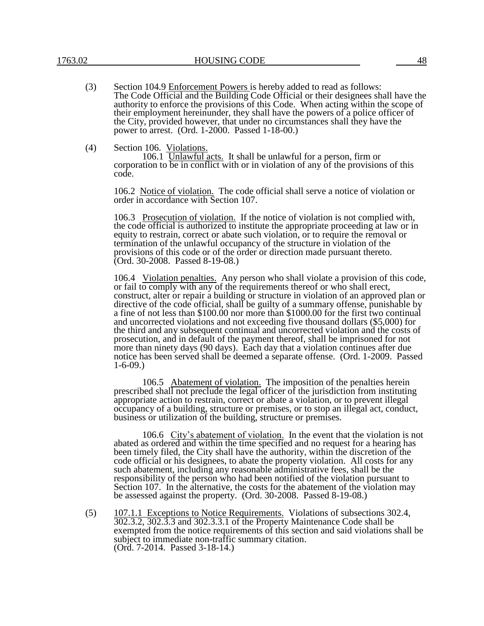- (3) Section 104.9 Enforcement Powers is hereby added to read as follows: The Code Official and the Building Code Official or their designees shall have the authority to enforce the provisions of this Code. When acting within the scope of their employment hereinunder, they shall have the powers of a police officer of the City, provided however, that under no circumstances shall they have the power to arrest. (Ord. 1-2000. Passed 1-18-00.)
- (4) Section 106. Violations.

106.1 Unlawful acts. It shall be unlawful for a person, firm or corporation to be in conflict with or in violation of any of the provisions of this code.

106.2 Notice of violation. The code official shall serve a notice of violation or order in accordance with Section 107.

106.3 Prosecution of violation. If the notice of violation is not complied with, the code official is authorized to institute the appropriate proceeding at law or in equity to restrain, correct or abate such violation, or to require the removal or termination of the unlawful occupancy of the structure in violation of the provisions of this code or of the order or direction made pursuant thereto. (Ord. 30-2008. Passed 8-19-08.)

106.4 Violation penalties. Any person who shall violate a provision of this code, or fail to comply with any of the requirements thereof or who shall erect, construct, alter or repair a building or structure in violation of an approved plan or directive of the code official, shall be guilty of a summary offense, punishable by a fine of not less than \$100.00 nor more than \$1000.00 for the first two continual and uncorrected violations and not exceeding five thousand dollars (\$5,000) for the third and any subsequent continual and uncorrected violation and the costs of prosecution, and in default of the payment thereof, shall be imprisoned for not more than ninety days (90 days). Each day that a violation continues after due notice has been served shall be deemed a separate offense. (Ord. 1-2009. Passed 1-6-09.)

106.5 Abatement of violation. The imposition of the penalties herein prescribed shall not preclude the legal officer of the jurisdiction from instituting appropriate action to restrain, correct or abate a violation, or to prevent illegal occupancy of a building, structure or premises, or to stop an illegal act, conduct, business or utilization of the building, structure or premises.

106.6 City's abatement of violation. In the event that the violation is not abated as ordered and within the time specified and no request for a hearing has been timely filed, the City shall have the authority, within the discretion of the code official or his designees, to abate the property violation. All costs for any such abatement, including any reasonable administrative fees, shall be the responsibility of the person who had been notified of the violation pursuant to Section 107. In the alternative, the costs for the abatement of the violation may be assessed against the property. (Ord. 30-2008. Passed 8-19-08.)

(5) 107.1.1 Exceptions to Notice Requirements. Violations of subsections 302.4, 302.3.2, 302.3.3 and 302.3.3.1 of the Property Maintenance Code shall be exempted from the notice requirements of this section and said violations shall be subject to immediate non-traffic summary citation. (Ord. 7-2014. Passed 3-18-14.)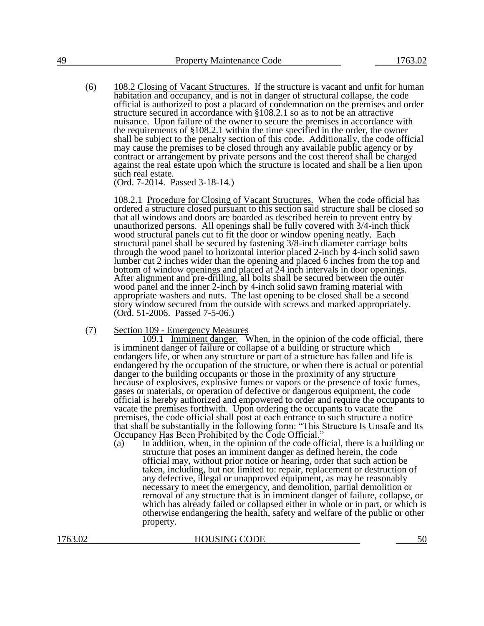(6) 108.2 Closing of Vacant Structures. If the structure is vacant and unfit for human habitation and occupancy, and is not in danger of structural collapse, the code official is authorized to post a placard of condemnation on the premises and order structure secured in accordance with §108.2.1 so as to not be an attractive nuisance. Upon failure of the owner to secure the premises in accordance with the requirements of §108.2.1 within the time specified in the order, the owner shall be subject to the penalty section of this code. Additionally, the code official may cause the premises to be closed through any available public agency or by contract or arrangement by private persons and the cost thereof shall be charged against the real estate upon which the structure is located and shall be a lien upon such real estate.

(Ord. 7-2014. Passed 3-18-14.)

108.2.1 Procedure for Closing of Vacant Structures. When the code official has ordered a structure closed pursuant to this section said structure shall be closed so that all windows and doors are boarded as described herein to prevent entry by unauthorized persons. All openings shall be fully covered with 3/4-inch thick wood structural panels cut to fit the door or window opening neatly. Each structural panel shall be secured by fastening 3/8-inch diameter carriage bolts through the wood panel to horizontal interior placed 2-inch by 4-inch solid sawn lumber cut 2 inches wider than the opening and placed 6 inches from the top and bottom of window openings and placed at 24 inch intervals in door openings. After alignment and pre-drilling, all bolts shall be secured between the outer wood panel and the inner 2-inch by 4-inch solid sawn framing material with appropriate washers and nuts. The last opening to be closed shall be a second story window secured from the outside with screws and marked appropriately. (Ord. 51-2006. Passed 7-5-06.)

(7) Section 109 - Emergency Measures

109.1 Imminent danger. When, in the opinion of the code official, there is imminent danger of failure or collapse of a building or structure which endangers life, or when any structure or part of a structure has fallen and life is endangered by the occupation of the structure, or when there is actual or potential danger to the building occupants or those in the proximity of any structure because of explosives, explosive fumes or vapors or the presence of toxic fumes, gases or materials, or operation of defective or dangerous equipment, the code official is hereby authorized and empowered to order and require the occupants to vacate the premises forthwith. Upon ordering the occupants to vacate the premises, the code official shall post at each entrance to such structure a notice that shall be substantially in the following form: "This Structure Is Unsafe and Its Occupancy Has Been Prohibited by the Code Official."

 $(a)$  In addition, when, in the opinion of the code official, there is a building or structure that poses an imminent danger as defined herein, the code official may, without prior notice or hearing, order that such action be taken, including, but not limited to: repair, replacement or destruction of any defective, illegal or unapproved equipment, as may be reasonably necessary to meet the emergency, and demolition, partial demolition or removal of any structure that is in imminent danger of failure, collapse, or which has already failed or collapsed either in whole or in part, or which is otherwise endangering the health, safety and welfare of the public or other property.

1763.02 HOUSING CODE 50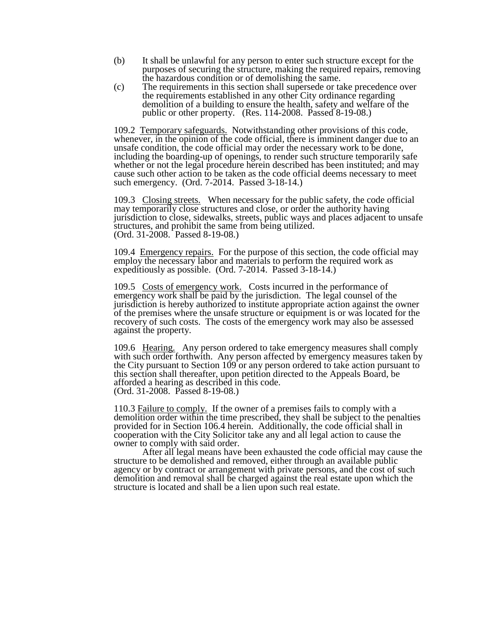- (b) It shall be unlawful for any person to enter such structure except for the purposes of securing the structure, making the required repairs, removing the hazardous condition or of demolishing the same.
- (c) The requirements in this section shall supersede or take precedence over the requirements established in any other City ordinance regarding demolition of a building to ensure the health, safety and welfare of the public or other property. (Res. 114-2008. Passed 8-19-08.)

109.2 Temporary safeguards. Notwithstanding other provisions of this code, whenever, in the opinion of the code official, there is imminent danger due to an unsafe condition, the code official may order the necessary work to be done, including the boarding-up of openings, to render such structure temporarily safe whether or not the legal procedure herein described has been instituted; and may cause such other action to be taken as the code official deems necessary to meet such emergency. (Ord. 7-2014. Passed 3-18-14.)

109.3 Closing streets. When necessary for the public safety, the code official may temporarily close structures and close, or order the authority having jurisdiction to close, sidewalks, streets, public ways and places adjacent to unsafe structures, and prohibit the same from being utilized. (Ord. 31-2008. Passed 8-19-08.)

109.4 Emergency repairs. For the purpose of this section, the code official may employ the necessary labor and materials to perform the required work as expeditiously as possible. (Ord. 7-2014. Passed 3-18-14.)

109.5 Costs of emergency work. Costs incurred in the performance of emergency work shall be paid by the jurisdiction. The legal counsel of the jurisdiction is hereby authorized to institute appropriate action against the owner of the premises where the unsafe structure or equipment is or was located for the recovery of such costs. The costs of the emergency work may also be assessed against the property.

109.6 Hearing. Any person ordered to take emergency measures shall comply with such order forthwith. Any person affected by emergency measures taken by the City pursuant to Section 109 or any person ordered to take action pursuant to this section shall thereafter, upon petition directed to the Appeals Board, be afforded a hearing as described in this code. (Ord. 31-2008. Passed 8-19-08.)

110.3 Failure to comply. If the owner of a premises fails to comply with a demolition order within the time prescribed, they shall be subject to the penalties provided for in Section 106.4 herein. Additionally, the code official shall in cooperation with the City Solicitor take any and all legal action to cause the owner to comply with said order.

After all legal means have been exhausted the code official may cause the structure to be demolished and removed, either through an available public agency or by contract or arrangement with private persons, and the cost of such demolition and removal shall be charged against the real estate upon which the structure is located and shall be a lien upon such real estate.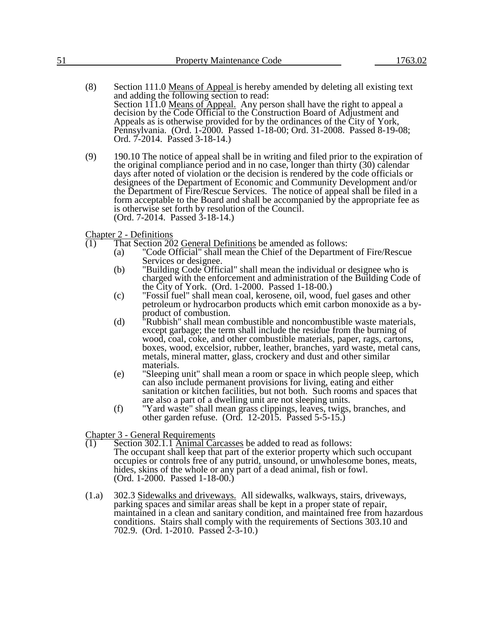| $ -$ | <b>Property Maintenance Code</b> | 1763.02 |
|------|----------------------------------|---------|
|      |                                  |         |

- (8) Section 111.0 Means of Appeal is hereby amended by deleting all existing text and adding the following section to read: Section 111.0 Means of Appeal. Any person shall have the right to appeal a decision by the Code Official to the Construction Board of Adjustment and Appeals as is otherwise provided for by the ordinances of the City of York, Pennsylvania. (Ord. 1-2000. Passed 1-18-00; Ord. 31-2008. Passed 8-19-08; Ord. 7-2014. Passed 3-18-14.)
- (9) 190.10 The notice of appeal shall be in writing and filed prior to the expiration of the original compliance period and in no case, longer than thirty (30) calendar days after noted of violation or the decision is rendered by the code officials or designees of the Department of Economic and Community Development and/or the Department of Fire/Rescue Services. The notice of appeal shall be filed in a form acceptable to the Board and shall be accompanied by the appropriate fee as is otherwise set forth by resolution of the Council. (Ord. 7-2014. Passed 3-18-14.)

Chapter 2 - Definitions

- $\overline{(1)}$  That Section 202 General Definitions be amended as follows:
	- (a) "Code Official" shall mean the Chief of the Department of Fire/Rescue Services or designee.
	- (b) "Building Code Official" shall mean the individual or designee who is charged with the enforcement and administration of the Building Code of the City of York. (Ord. 1-2000. Passed 1-18-00.)
	- (c) "Fossil fuel" shall mean coal, kerosene, oil, wood, fuel gases and other petroleum or hydrocarbon products which emit carbon monoxide as a byproduct of combustion.
	- (d) "Rubbish" shall mean combustible and noncombustible waste materials, except garbage; the term shall include the residue from the burning of wood, coal, coke, and other combustible materials, paper, rags, cartons, boxes, wood, excelsior, rubber, leather, branches, yard waste, metal cans, metals, mineral matter, glass, crockery and dust and other similar materials.
	- (e) "Sleeping unit" shall mean a room or space in which people sleep, which can also include permanent provisions for living, eating and either sanitation or kitchen facilities, but not both. Such rooms and spaces that are also a part of a dwelling unit are not sleeping units.
	- (f) "Yard waste" shall mean grass clippings, leaves, twigs, branches, and other garden refuse. (Ord. 12-2015. Passed 5-5-15.)

Chapter 3 - General Requirements

- $\overline{(1)}$  Section 302.1.1 Animal Carcasses be added to read as follows: The occupant shall keep that part of the exterior property which such occupant occupies or controls free of any putrid, unsound, or unwholesome bones, meats, hides, skins of the whole or any part of a dead animal, fish or fowl. (Ord. 1-2000. Passed 1-18-00.)
- (1.a) 302.3 Sidewalks and driveways. All sidewalks, walkways, stairs, driveways, parking spaces and similar areas shall be kept in a proper state of repair, maintained in a clean and sanitary condition, and maintained free from hazardous conditions. Stairs shall comply with the requirements of Sections 303.10 and 702.9. (Ord. 1-2010. Passed 2-3-10.)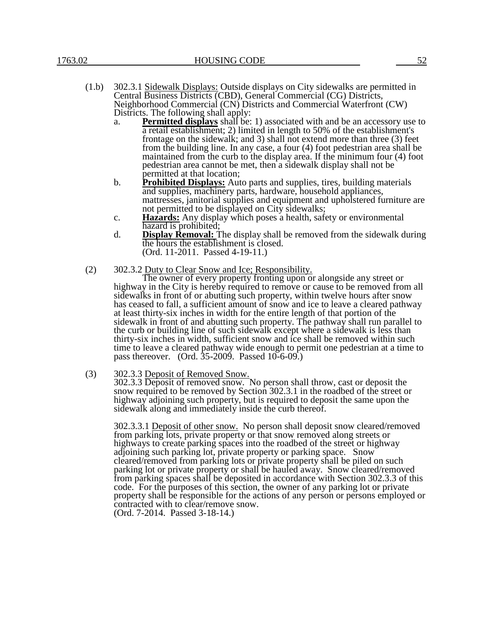- a. **Permitted displays** shall be: 1) associated with and be an accessory use to a retail establishment; 2) limited in length to 50% of the establishment's frontage on the sidewalk; and 3) shall not extend more than three (3) feet from the building line. In any case, a four (4) foot pedestrian area shall be maintained from the curb to the display area. If the minimum four (4) foot pedestrian area cannot be met, then a sidewalk display shall not be permitted at that location;
- b. **Prohibited Displays:** Auto parts and supplies, tires, building materials and supplies, machinery parts, hardware, household appliances, mattresses, janitorial supplies and equipment and upholstered furniture are not permitted to be displayed on City sidewalks;
- c. **Hazards:** Any display which poses a health, safety or environmental hazard is prohibited;
- d. **Display Removal:** The display shall be removed from the sidewalk during the hours the establishment is closed. (Ord. 11-2011. Passed 4-19-11.)
- (2) 302.3.2 Duty to Clear Snow and Ice; Responsibility.

The owner of every property fronting upon or alongside any street or highway in the City is hereby required to remove or cause to be removed from all sidewalks in front of or abutting such property, within twelve hours after snow has ceased to fall, a sufficient amount of snow and ice to leave a cleared pathway at least thirty-six inches in width for the entire length of that portion of the sidewalk in front of and abutting such property. The pathway shall run parallel to the curb or building line of such sidewalk except where a sidewalk is less than thirty-six inches in width, sufficient snow and ice shall be removed within such time to leave a cleared pathway wide enough to permit one pedestrian at a time to pass thereover. (Ord. 35-2009. Passed 10-6-09.)

#### (3) 302.3.3 Deposit of Removed Snow.

302.3.3 Deposit of removed snow. No person shall throw, cast or deposit the snow required to be removed by Section 302.3.1 in the roadbed of the street or highway adjoining such property, but is required to deposit the same upon the sidewalk along and immediately inside the curb thereof.

302.3.3.1 Deposit of other snow. No person shall deposit snow cleared/removed from parking lots, private property or that snow removed along streets or highways to create parking spaces into the roadbed of the street or highway adjoining such parking lot, private property or parking space. Snow cleared/removed from parking lots or private property shall be piled on such parking lot or private property or shall be hauled away. Snow cleared/removed from parking spaces shall be deposited in accordance with Section 302.3.3 of this code. For the purposes of this section, the owner of any parking lot or private property shall be responsible for the actions of any person or persons employed or contracted with to clear/remove snow.

(Ord. 7-2014. Passed 3-18-14.)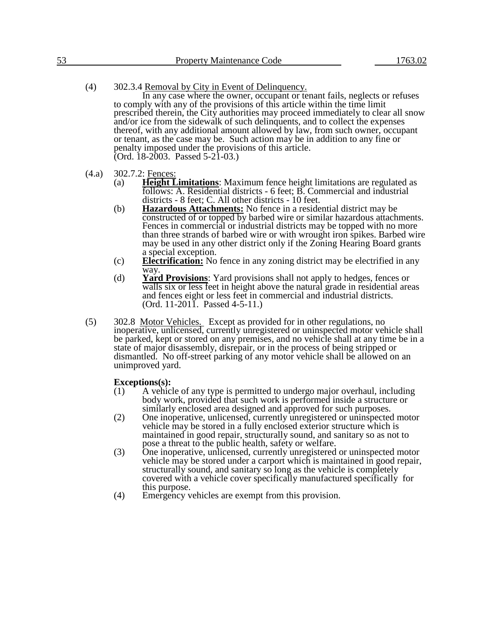- (4) 302.3.4 Removal by City in Event of Delinquency. In any case where the owner, occupant or tenant fails, neglects or refuses to comply with any of the provisions of this article within the time limit prescribed therein, the City authorities may proceed immediately to clear all snow and/or ice from the sidewalk of such delinquents, and to collect the expenses thereof, with any additional amount allowed by law, from such owner, occupant or tenant, as the case may be. Such action may be in addition to any fine or penalty imposed under the provisions of this article. (Ord. 18-2003. Passed 5-21-03.)
- (4.a) 302.7.2: Fences:
	- (a) **Height Limitations**: Maximum fence height limitations are regulated as follows: A. Residential districts - 6 feet; B. Commercial and industrial districts - 8 feet; C. All other districts - 10 feet.
	- (b) **Hazardous Attachments:** No fence in a residential district may be constructed of or topped by barbed wire or similar hazardous attachments. Fences in commercial or industrial districts may be topped with no more than three strands of barbed wire or with wrought iron spikes. Barbed wire may be used in any other district only if the Zoning Hearing Board grants a special exception.
	- (c) **Electrification:** No fence in any zoning district may be electrified in any way.
	- (d) **Yard Provisions**: Yard provisions shall not apply to hedges, fences or walls six or less feet in height above the natural grade in residential areas and fences eight or less feet in commercial and industrial districts. (Ord. 11-2011. Passed 4-5-11.)
- (5) 302.8 Motor Vehicles. Except as provided for in other regulations, no inoperative, unlicensed, currently unregistered or uninspected motor vehicle shall be parked, kept or stored on any premises, and no vehicle shall at any time be in a state of major disassembly, disrepair, or in the process of being stripped or dismantled. No off-street parking of any motor vehicle shall be allowed on an unimproved yard.

## **Exceptions(s):**

- $(1)$  A vehicle of any type is permitted to undergo major overhaul, including body work, provided that such work is performed inside a structure or similarly enclosed area designed and approved for such purposes.
- (2) One inoperative, unlicensed, currently unregistered or uninspected motor vehicle may be stored in a fully enclosed exterior structure which is maintained in good repair, structurally sound, and sanitary so as not to pose a threat to the public health, safety or welfare.
- (3) One inoperative, unlicensed, currently unregistered or uninspected motor vehicle may be stored under a carport which is maintained in good repair, structurally sound, and sanitary so long as the vehicle is completely covered with a vehicle cover specifically manufactured specifically for this purpose.
- (4) Emergency vehicles are exempt from this provision.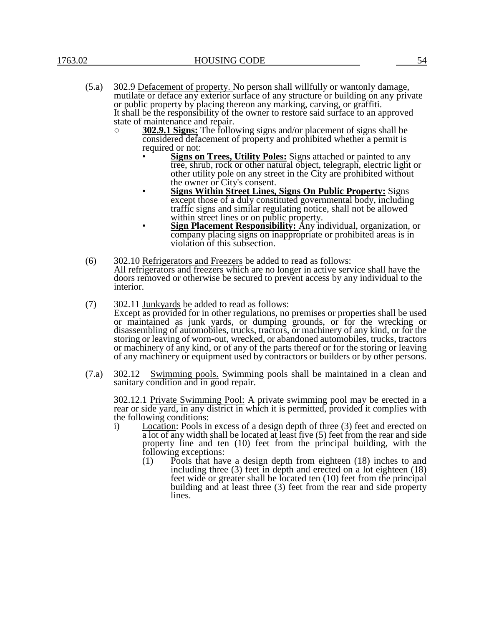- (5.a) 302.9 Defacement of property. No person shall willfully or wantonly damage, mutilate or deface any exterior surface of any structure or building on any private or public property by placing thereon any marking, carving, or graffiti. It shall be the responsibility of the owner to restore said surface to an approved state of maintenance and repair.
	- **302.9.1 Signs:** The following signs and/or placement of signs shall be considered defacement of property and prohibited whether a permit is required or not:
		- **Signs on Trees, Utility Poles:** Signs attached or painted to any tree, shrub, rock or other natural object, telegraph, electric light or other utility pole on any street in the City are prohibited without the owner or City's consent.
		- **Signs Within Street Lines, Signs On Public Property:** Signs except those of a duly constituted governmental body, including traffic signs and similar regulating notice, shall not be allowed within street lines or on public property.
		- **Sign Placement Responsibility:** Any individual, organization, or company placing signs on inappropriate or prohibited areas is in violation of this subsection.
- (6) 302.10 Refrigerators and Freezers be added to read as follows: All refrigerators and freezers which are no longer in active service shall have the doors removed or otherwise be secured to prevent access by any individual to the interior.
- (7) 302.11 Junkyards be added to read as follows: Except as provided for in other regulations, no premises or properties shall be used or maintained as junk yards, or dumping grounds, or for the wrecking or disassembling of automobiles, trucks, tractors, or machinery of any kind, or for the storing or leaving of worn-out, wrecked, or abandoned automobiles, trucks, tractors or machinery of any kind, or of any of the parts thereof or for the storing or leaving of any machinery or equipment used by contractors or builders or by other persons.
- (7.a) 302.12 Swimming pools. Swimming pools shall be maintained in a clean and sanitary condition and in good repair.

302.12.1 Private Swimming Pool: A private swimming pool may be erected in a rear or side yard, in any district in which it is permitted, provided it complies with the following conditions:

- i) Location: Pools in excess of a design depth of three (3) feet and erected on a lot of any width shall be located at least five (5) feet from the rear and side property line and ten (10) feet from the principal building, with the following exceptions:
	- (1) Pools that have a design depth from eighteen (18) inches to and including three (3) feet in depth and erected on a lot eighteen (18) feet wide or greater shall be located ten (10) feet from the principal building and at least three (3) feet from the rear and side property lines.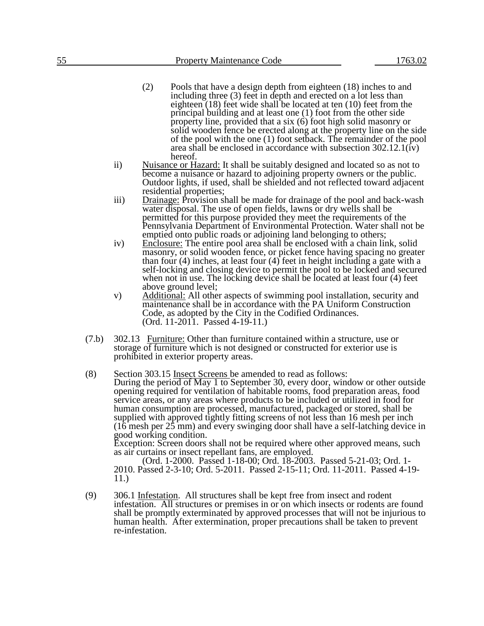- (2) Pools that have a design depth from eighteen (18) inches to and including three (3) feet in depth and erected on a lot less than eighteen (18) feet wide shall be located at ten (10) feet from the principal building and at least one (1) foot from the other side property line, provided that a six (6) foot high solid masonry or solid wooden fence be erected along at the property line on the side of the pool with the one (1) foot setback. The remainder of the pool area shall be enclosed in accordance with subsection 302.12.1(iv) hereof.
- ii) Nuisance or Hazard: It shall be suitably designed and located so as not to become a nuisance or hazard to adjoining property owners or the public. Outdoor lights, if used, shall be shielded and not reflected toward adjacent residential properties;
- iii) Drainage: Provision shall be made for drainage of the pool and back-wash water disposal. The use of open fields, lawns or dry wells shall be permitted for this purpose provided they meet the requirements of the Pennsylvania Department of Environmental Protection. Water shall not be emptied onto public roads or adjoining land belonging to others;
- iv) Enclosure: The entire pool area shall be enclosed with a chain link, solid masonry, or solid wooden fence, or picket fence having spacing no greater than four (4) inches, at least four (4) feet in height including a gate with a self-locking and closing device to permit the pool to be locked and secured when not in use. The locking device shall be located at least four (4) feet above ground level;
- v) Additional: All other aspects of swimming pool installation, security and maintenance shall be in accordance with the PA Uniform Construction Code, as adopted by the City in the Codified Ordinances. (Ord. 11-2011. Passed 4-19-11.)
- (7.b) 302.13 Furniture: Other than furniture contained within a structure, use or storage of furniture which is not designed or constructed for exterior use is prohibited in exterior property areas.
- (8) Section 303.15 Insect Screens be amended to read as follows: During the period of May 1 to September 30, every door, window or other outside opening required for ventilation of habitable rooms, food preparation areas, food service areas, or any areas where products to be included or utilized in food for human consumption are processed, manufactured, packaged or stored, shall be supplied with approved tightly fitting screens of not less than 16 mesh per inch  $(16$  mesh per  $25$  mm) and every swinging door shall have a self-latching device in good working condition.

Exception: Screen doors shall not be required where other approved means, such as air curtains or insect repellant fans, are employed.

(Ord. 1-2000. Passed 1-18-00; Ord. 18-2003. Passed 5-21-03; Ord. 1- 2010. Passed 2-3-10; Ord. 5-2011. Passed 2-15-11; Ord. 11-2011. Passed 4-19- 11.)

(9) 306.1 Infestation. All structures shall be kept free from insect and rodent infestation. All structures or premises in or on which insects or rodents are found shall be promptly exterminated by approved processes that will not be injurious to human health. After extermination, proper precautions shall be taken to prevent re-infestation.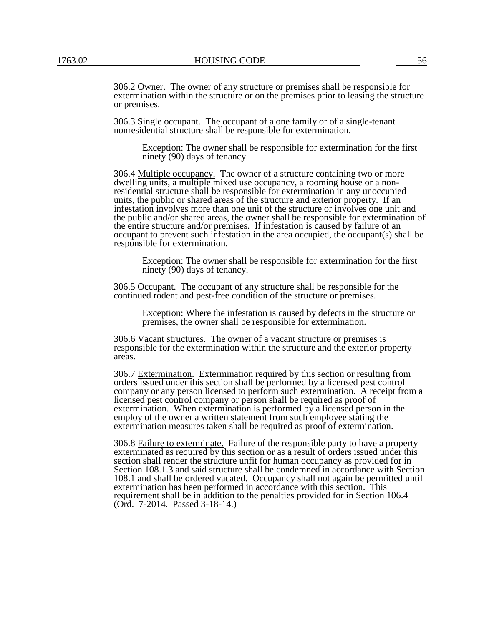306.2 Owner. The owner of any structure or premises shall be responsible for extermination within the structure or on the premises prior to leasing the structure or premises.

306.3 Single occupant. The occupant of a one family or of a single-tenant nonresidential structure shall be responsible for extermination.

Exception: The owner shall be responsible for extermination for the first ninety (90) days of tenancy.

306.4 Multiple occupancy. The owner of a structure containing two or more dwelling units, a multiple mixed use occupancy, a rooming house or a nonresidential structure shall be responsible for extermination in any unoccupied units, the public or shared areas of the structure and exterior property. If an infestation involves more than one unit of the structure or involves one unit and the public and/or shared areas, the owner shall be responsible for extermination of the entire structure and/or premises. If infestation is caused by failure of an occupant to prevent such infestation in the area occupied, the occupant(s) shall be responsible for extermination.

Exception: The owner shall be responsible for extermination for the first ninety (90) days of tenancy.

306.5 Occupant. The occupant of any structure shall be responsible for the continued rodent and pest-free condition of the structure or premises.

Exception: Where the infestation is caused by defects in the structure or premises, the owner shall be responsible for extermination.

306.6 Vacant structures. The owner of a vacant structure or premises is responsible for the extermination within the structure and the exterior property areas.

306.7 Extermination. Extermination required by this section or resulting from orders issued under this section shall be performed by a licensed pest control company or any person licensed to perform such extermination. A receipt from a licensed pest control company or person shall be required as proof of extermination. When extermination is performed by a licensed person in the employ of the owner a written statement from such employee stating the extermination measures taken shall be required as proof of extermination.

306.8 Failure to exterminate. Failure of the responsible party to have a property exterminated as required by this section or as a result of orders issued under this section shall render the structure unfit for human occupancy as provided for in Section 108.1.3 and said structure shall be condemned in accordance with Section 108.1 and shall be ordered vacated. Occupancy shall not again be permitted until extermination has been performed in accordance with this section. This requirement shall be in addition to the penalties provided for in Section 106.4 (Ord. 7-2014. Passed 3-18-14.)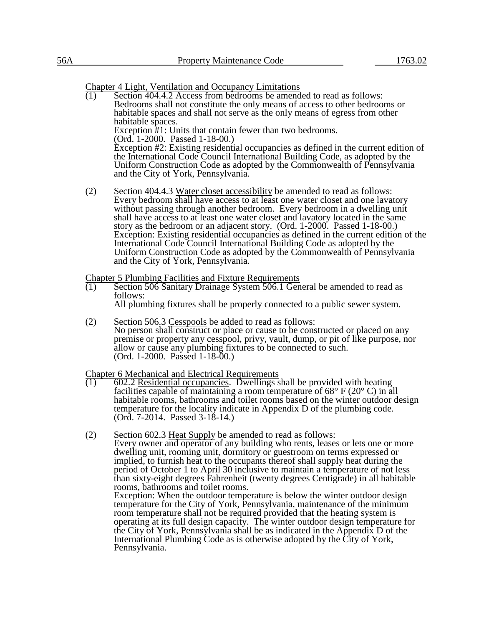Chapter 4 Light, Ventilation and Occupancy Limitations

- $\overline{(1)}$  Section 404.4.2 Access from bedrooms be amended to read as follows: Bedrooms shall not constitute the only means of access to other bedrooms or habitable spaces and shall not serve as the only means of egress from other habitable spaces. Exception #1: Units that contain fewer than two bedrooms. (Ord. 1-2000. Passed 1-18-00.) Exception #2: Existing residential occupancies as defined in the current edition of the International Code Council International Building Code, as adopted by the Uniform Construction Code as adopted by the Commonwealth of Pennsylvania and the City of York, Pennsylvania.
- $(2)$  Section 404.4.3 Water closet accessibility be amended to read as follows: Every bedroom shall have access to at least one water closet and one lavatory without passing through another bedroom. Every bedroom in a dwelling unit shall have access to at least one water closet and lavatory located in the same story as the bedroom or an adjacent story. (Ord. 1-2000. Passed 1-18-00.) Exception: Existing residential occupancies as defined in the current edition of the International Code Council International Building Code as adopted by the Uniform Construction Code as adopted by the Commonwealth of Pennsylvania and the City of York, Pennsylvania.

# Chapter 5 Plumbing Facilities and Fixture Requirements<br>(1) Section 506 Sanitary Drainage System 506.1 Gen

Section 506 Sanitary Drainage System 506.1 General be amended to read as follows:

All plumbing fixtures shall be properly connected to a public sewer system.

(2) Section 506.3 Cesspools be added to read as follows: No person shall construct or place or cause to be constructed or placed on any premise or property any cesspool, privy, vault, dump, or pit of like purpose, nor allow or cause any plumbing fixtures to be connected to such. (Ord. 1-2000. Passed 1-18-00.)

Chapter 6 Mechanical and Electrical Requirements<br>(1) 602.2 Residential occupancies. Dwellings s

- (1) 602.2 Residential occupancies. Dwellings shall be provided with heating facilities capable of maintaining a room temperature of  $68^{\circ}$  F (20 $^{\circ}$  C) in all habitable rooms, bathrooms and toilet rooms based on the winter outdoor design temperature for the locality indicate in Appendix D of the plumbing code. (Ord. 7-2014. Passed 3-18-14.)
- (2) Section 602.3 Heat Supply be amended to read as follows: Every owner and operator of any building who rents, leases or lets one or more dwelling unit, rooming unit, dormitory or guestroom on terms expressed or implied, to furnish heat to the occupants thereof shall supply heat during the period of October 1 to April 30 inclusive to maintain a temperature of not less than sixty-eight degrees Fahrenheit (twenty degrees Centigrade) in all habitable rooms, bathrooms and toilet rooms. Exception: When the outdoor temperature is below the winter outdoor design temperature for the City of York, Pennsylvania, maintenance of the minimum room temperature shall not be required provided that the heating system is operating at its full design capacity. The winter outdoor design temperature for the City of York, Pennsylvania shall be as indicated in the Appendix D of the International Plumbing Code as is otherwise adopted by the City of York, Pennsylvania.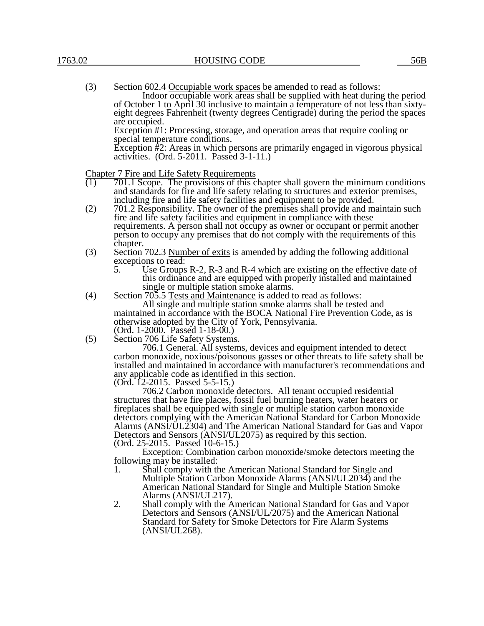| (3) | Section 602.4 Occupiable work spaces be amended to read as follows:                                                             |
|-----|---------------------------------------------------------------------------------------------------------------------------------|
|     | Indoor occupiable work areas shall be supplied with heat during the period                                                      |
|     | of October 1 to April 30 inclusive to maintain a temperature of not less than sixty-                                            |
|     | eight degrees Fahrenheit (twenty degrees Centigrade) during the period the spaces                                               |
|     | are occupied.                                                                                                                   |
|     | Exception #1: Processing, storage, and operation areas that require cooling or                                                  |
|     | special temperature conditions.                                                                                                 |
|     | Exception $#2$ : Areas in which persons are primarily engaged in vigorous physical<br>activities. (Ord. 5-2011. Passed 3-1-11.) |

Chapter 7 Fire and Life Safety Requirements<br> $(1)$  701.1 Scope. The provisions of this c

- (1) 701.1 Scope. The provisions of this chapter shall govern the minimum conditions and standards for fire and life safety relating to structures and exterior premises, including fire and life safety facilities and equipment to be provided.
- (2) 701.2 Responsibility. The owner of the premises shall provide and maintain such fire and life safety facilities and equipment in compliance with these requirements. A person shall not occupy as owner or occupant or permit another person to occupy any premises that do not comply with the requirements of this chapter.
- (3) Section 702.3 Number of exits is amended by adding the following additional exceptions to read:<br>5. Use Groups
	- Use Groups R-2, R-3 and R-4 which are existing on the effective date of this ordinance and are equipped with properly installed and maintained single or multiple station smoke alarms.
- (4) Section 705.5 Tests and Maintenance is added to read as follows: All single and multiple station smoke alarms shall be tested and maintained in accordance with the BOCA National Fire Prevention Code, as is
	- otherwise adopted by the City of York, Pennsylvania.
	- (Ord. 1-2000. Passed 1-18-00.)
- (5) Section 706 Life Safety Systems.

706.1 General. All systems, devices and equipment intended to detect carbon monoxide, noxious/poisonous gasses or other threats to life safety shall be installed and maintained in accordance with manufacturer's recommendations and any applicable code as identified in this section.

(Ord. 12-2015. Passed 5-5-15.)

706.2 Carbon monoxide detectors. All tenant occupied residential structures that have fire places, fossil fuel burning heaters, water heaters or fireplaces shall be equipped with single or multiple station carbon monoxide detectors complying with the American National Standard for Carbon Monoxide Alarms (ANSI/UL2304) and The American National Standard for Gas and Vapor Detectors and Sensors (ANSI/UL2075) as required by this section. (Ord. 25-2015. Passed 10-6-15.)

Exception: Combination carbon monoxide/smoke detectors meeting the following may be installed:

- 1. Shall comply with the American National Standard for Single and Multiple Station Carbon Monoxide Alarms (ANSI/UL2034) and the American National Standard for Single and Multiple Station Smoke Alarms (ANSI/UL217).
- 2. Shall comply with the American National Standard for Gas and Vapor Detectors and Sensors (ANSI/UL/2075) and the American National Standard for Safety for Smoke Detectors for Fire Alarm Systems (ANSI/UL268).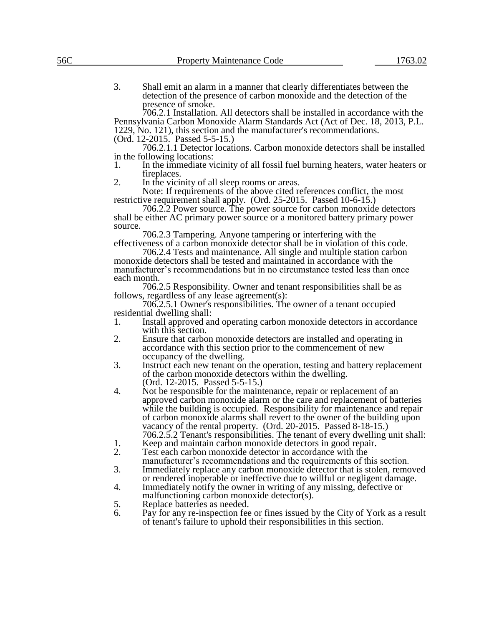3. Shall emit an alarm in a manner that clearly differentiates between the detection of the presence of carbon monoxide and the detection of the presence of smoke.

706.2.1 Installation. All detectors shall be installed in accordance with the Pennsylvania Carbon Monoxide Alarm Standards Act (Act of Dec. 18, 2013, P.L. 1229, No. 121), this section and the manufacturer's recommendations. (Ord. 12-2015. Passed 5-5-15.)

706.2.1.1 Detector locations. Carbon monoxide detectors shall be installed in the following locations:

- 1. In the immediate vicinity of all fossil fuel burning heaters, water heaters or fireplaces.
- 2. In the vicinity of all sleep rooms or areas.

Note: If requirements of the above cited references conflict, the most restrictive requirement shall apply. (Ord. 25-2015. Passed 10-6-15.)

706.2.2 Power source. The power source for carbon monoxide detectors shall be either AC primary power source or a monitored battery primary power source.

706.2.3 Tampering. Anyone tampering or interfering with the effectiveness of a carbon monoxide detector shall be in violation of this code.

706.2.4 Tests and maintenance. All single and multiple station carbon monoxide detectors shall be tested and maintained in accordance with the manufacturer's recommendations but in no circumstance tested less than once each month.

706.2.5 Responsibility. Owner and tenant responsibilities shall be as follows, regardless of any lease agreement(s):

706.2.5.1 Owner's responsibilities. The owner of a tenant occupied residential dwelling shall:

- 1. Install approved and operating carbon monoxide detectors in accordance with this section.
- 2. Ensure that carbon monoxide detectors are installed and operating in accordance with this section prior to the commencement of new occupancy of the dwelling.
- 3. Instruct each new tenant on the operation, testing and battery replacement of the carbon monoxide detectors within the dwelling. (Ord. 12-2015. Passed 5-5-15.)
- 4. Not be responsible for the maintenance, repair or replacement of an approved carbon monoxide alarm or the care and replacement of batteries while the building is occupied. Responsibility for maintenance and repair of carbon monoxide alarms shall revert to the owner of the building upon vacancy of the rental property. (Ord. 20-2015. Passed 8-18-15.) 706.2.5.2 Tenant's responsibilities. The tenant of every dwelling unit shall:
- 1. Keep and maintain carbon monoxide detectors in good repair.<br>2. Test each carbon monoxide detector in accordance with the
- Test each carbon monoxide detector in accordance with the
- manufacturer's recommendations and the requirements of this section. 3. Immediately replace any carbon monoxide detector that is stolen, removed
- or rendered inoperable or ineffective due to willful or negligent damage.
- 4. Immediately notify the owner in writing of any missing, defective or malfunctioning carbon monoxide detector(s).
- 5. Replace batteries as needed.
- 6. Pay for any re-inspection fee or fines issued by the City of York as a result of tenant's failure to uphold their responsibilities in this section.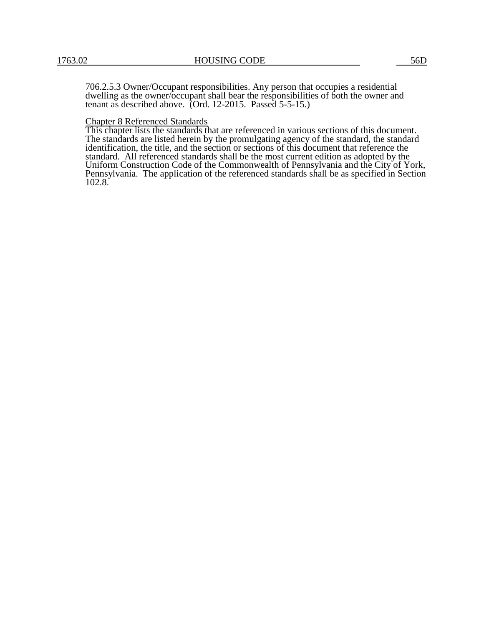706.2.5.3 Owner/Occupant responsibilities. Any person that occupies a residential dwelling as the owner/occupant shall bear the responsibilities of both the owner and tenant as described above. (Ord. 12-2015. Passed 5-5-15.)

## Chapter 8 Referenced Standards

This chapter lists the standards that are referenced in various sections of this document. The standards are listed herein by the promulgating agency of the standard, the standard identification, the title, and the section or sections of this document that reference the standard. All referenced standards shall be the most current edition as adopted by the Uniform Construction Code of the Commonwealth of Pennsylvania and the City of York, Pennsylvania. The application of the referenced standards shall be as specified in Section 102.8.